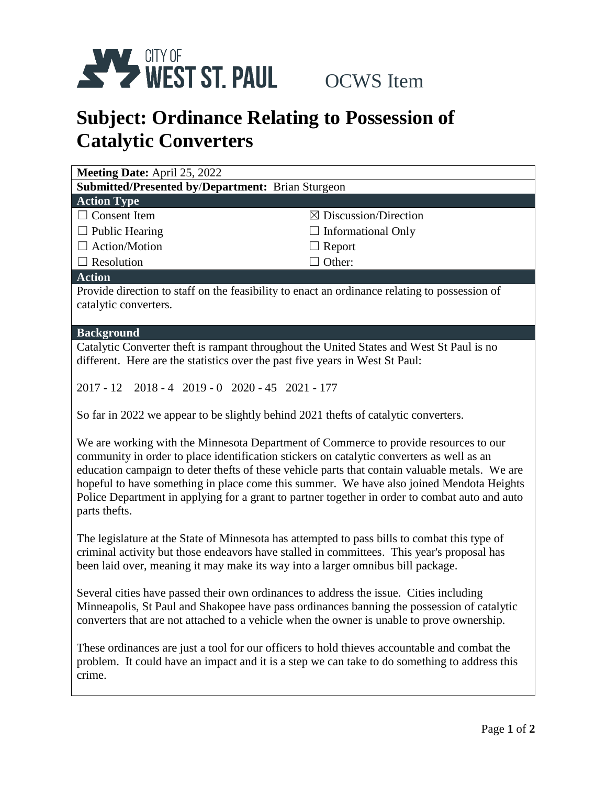

## **Subject: Ordinance Relating to Possession of Catalytic Converters**

| Meeting Date: April 25, 2022                                                                                  |                                  |  |
|---------------------------------------------------------------------------------------------------------------|----------------------------------|--|
| <b>Submitted/Presented by/Department: Brian Sturgeon</b>                                                      |                                  |  |
| <b>Action Type</b>                                                                                            |                                  |  |
| $\Box$ Consent Item                                                                                           | $\boxtimes$ Discussion/Direction |  |
| $\Box$ Public Hearing                                                                                         | $\Box$ Informational Only        |  |
| $\Box$ Action/Motion                                                                                          | $\Box$ Report                    |  |
| $\Box$ Resolution                                                                                             | $\Box$ Other:                    |  |
| <b>Action</b>                                                                                                 |                                  |  |
| Provide direction to staff on the feasibility to enact an ordinance relating to possession of                 |                                  |  |
| catalytic converters.                                                                                         |                                  |  |
|                                                                                                               |                                  |  |
| <b>Background</b><br>Catalytic Converter theft is rampant throughout the United States and West St Paul is no |                                  |  |
| different. Here are the statistics over the past five years in West St Paul:                                  |                                  |  |
|                                                                                                               |                                  |  |
| 2017 - 12 2018 - 4 2019 - 0 2020 - 45 2021 - 177                                                              |                                  |  |
|                                                                                                               |                                  |  |
| So far in 2022 we appear to be slightly behind 2021 the fts of catalytic converters.                          |                                  |  |
| We are working with the Minnesota Department of Commerce to provide resources to our                          |                                  |  |
| community in order to place identification stickers on catalytic converters as well as an                     |                                  |  |
| education campaign to deter thefts of these vehicle parts that contain valuable metals. We are                |                                  |  |
| hopeful to have something in place come this summer. We have also joined Mendota Heights                      |                                  |  |
| Police Department in applying for a grant to partner together in order to combat auto and auto                |                                  |  |
| parts thefts.                                                                                                 |                                  |  |
| The legislature at the State of Minnesota has attempted to pass bills to combat this type of                  |                                  |  |
| criminal activity but those endeavors have stalled in committees. This year's proposal has                    |                                  |  |
| been laid over, meaning it may make its way into a larger omnibus bill package.                               |                                  |  |
|                                                                                                               |                                  |  |
| Several cities have passed their own ordinances to address the issue. Cities including                        |                                  |  |
| Minneapolis, St Paul and Shakopee have pass ordinances banning the possession of catalytic                    |                                  |  |
| converters that are not attached to a vehicle when the owner is unable to prove ownership.                    |                                  |  |

These ordinances are just a tool for our officers to hold thieves accountable and combat the problem. It could have an impact and it is a step we can take to do something to address this crime.